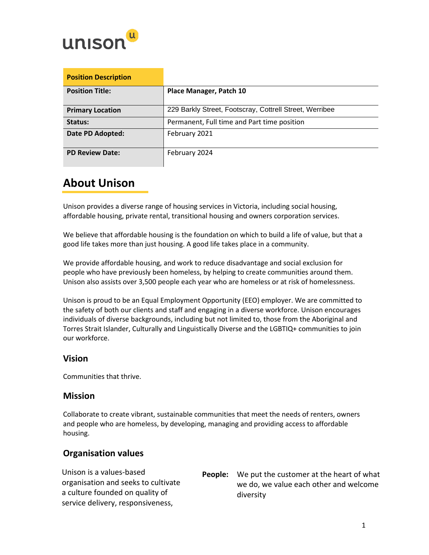

| <b>Position Description</b> |                                                         |
|-----------------------------|---------------------------------------------------------|
| <b>Position Title:</b>      | Place Manager, Patch 10                                 |
| <b>Primary Location</b>     | 229 Barkly Street, Footscray, Cottrell Street, Werribee |
| Status:                     | Permanent, Full time and Part time position             |
| Date PD Adopted:            | February 2021                                           |
| <b>PD Review Date:</b>      | February 2024                                           |

# **About Unison**

Unison provides a diverse range of housing services in Victoria, including social housing, affordable housing, private rental, transitional housing and owners corporation services.

We believe that affordable housing is the foundation on which to build a life of value, but that a good life takes more than just housing. A good life takes place in a community.

We provide affordable housing, and work to reduce disadvantage and social exclusion for people who have previously been homeless, by helping to create communities around them. Unison also assists over 3,500 people each year who are homeless or at risk of homelessness.

Unison is proud to be an Equal Employment Opportunity (EEO) employer. We are committed to the safety of both our clients and staff and engaging in a diverse workforce. Unison encourages individuals of diverse backgrounds, including but not limited to, those from the Aboriginal and Torres Strait Islander, Culturally and Linguistically Diverse and the LGBTIQ+ communities to join our workforce.

### **Vision**

Communities that thrive.

## **Mission**

Collaborate to create vibrant, sustainable communities that meet the needs of renters, owners and people who are homeless, by developing, managing and providing access to affordable housing.

## **Organisation values**

| Unison is a values-based            | <b>People:</b> We put the customer at the heart of what |
|-------------------------------------|---------------------------------------------------------|
| organisation and seeks to cultivate | we do, we value each other and welcome                  |
| a culture founded on quality of     | diversity                                               |
| service delivery, responsiveness,   |                                                         |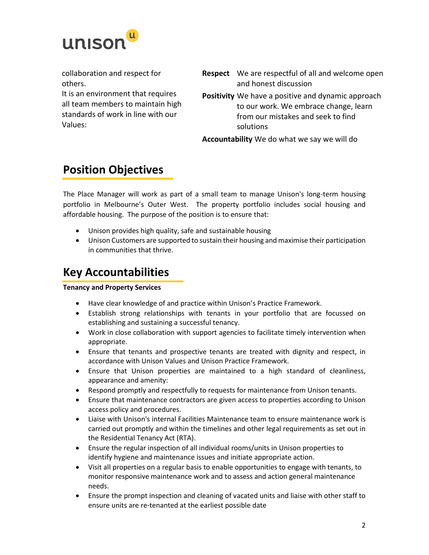

collaboration and respect for others.

It is an environment that requires all team members to maintain high standards of work in line with our Values:

- **Respect** We are respectful of all and welcome open and honest discussion
- **Positivity** We have a positive and dynamic approach to our work. We embrace change, learn from our mistakes and seek to find solutions

**Accountability** We do what we say we will do

## **Position Objectives**

The Place Manager will work as part of a small team to manage Unison's long-term housing portfolio in Melbourne's Outer West. The property portfolio includes social housing and affordable housing. The purpose of the position is to ensure that:

- Unison provides high quality, safe and sustainable housing
- Unison Customers are supported to sustain their housing and maximise their participation in communities that thrive.

## **Key Accountabilities**

#### **Tenancy and Property Services**

- Have clear knowledge of and practice within Unison's Practice Framework.
- Establish strong relationships with tenants in your portfolio that are focussed on establishing and sustaining a successful tenancy.
- Work in close collaboration with support agencies to facilitate timely intervention when appropriate.
- Ensure that tenants and prospective tenants are treated with dignity and respect, in accordance with Unison Values and Unison Practice Framework.
- Ensure that Unison properties are maintained to a high standard of cleanliness, appearance and amenity:
- Respond promptly and respectfully to requests for maintenance from Unison tenants.
- Ensure that maintenance contractors are given access to properties according to Unison access policy and procedures.
- Liaise with Unison's internal Facilities Maintenance team to ensure maintenance work is carried out promptly and within the timelines and other legal requirements as set out in the Residential Tenancy Act (RTA).
- Ensure the regular inspection of all individual rooms/units in Unison properties to identify hygiene and maintenance issues and initiate appropriate action.
- Visit all properties on a regular basis to enable opportunities to engage with tenants, to monitor responsive maintenance work and to assess and action general maintenance needs.
- Ensure the prompt inspection and cleaning of vacated units and liaise with other staff to ensure units are re-tenanted at the earliest possible date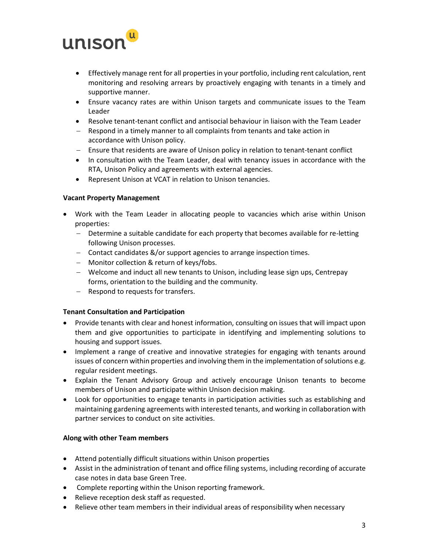

- Effectively manage rent for all properties in your portfolio, including rent calculation, rent monitoring and resolving arrears by proactively engaging with tenants in a timely and supportive manner.
- Ensure vacancy rates are within Unison targets and communicate issues to the Team Leader
- Resolve tenant-tenant conflict and antisocial behaviour in liaison with the Team Leader
- − Respond in a timely manner to all complaints from tenants and take action in accordance with Unison policy.
- − Ensure that residents are aware of Unison policy in relation to tenant-tenant conflict
- In consultation with the Team Leader, deal with tenancy issues in accordance with the RTA, Unison Policy and agreements with external agencies.
- Represent Unison at VCAT in relation to Unison tenancies.

#### **Vacant Property Management**

- Work with the Team Leader in allocating people to vacancies which arise within Unison properties:
	- − Determine a suitable candidate for each property that becomes available for re-letting following Unison processes.
	- − Contact candidates &/or support agencies to arrange inspection times.
	- − Monitor collection & return of keys/fobs.
	- − Welcome and induct all new tenants to Unison, including lease sign ups, Centrepay forms, orientation to the building and the community.
	- − Respond to requests for transfers.

#### **Tenant Consultation and Participation**

- Provide tenants with clear and honest information, consulting on issues that will impact upon them and give opportunities to participate in identifying and implementing solutions to housing and support issues.
- Implement a range of creative and innovative strategies for engaging with tenants around issues of concern within properties and involving them in the implementation of solutions e.g. regular resident meetings.
- Explain the Tenant Advisory Group and actively encourage Unison tenants to become members of Unison and participate within Unison decision making.
- Look for opportunities to engage tenants in participation activities such as establishing and maintaining gardening agreements with interested tenants, and working in collaboration with partner services to conduct on site activities.

#### **Along with other Team members**

- Attend potentially difficult situations within Unison properties
- Assist in the administration of tenant and office filing systems, including recording of accurate case notes in data base Green Tree.
- Complete reporting within the Unison reporting framework.
- Relieve reception desk staff as requested.
- Relieve other team members in their individual areas of responsibility when necessary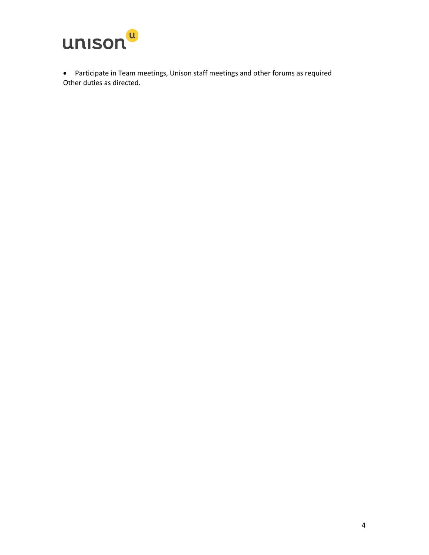

• Participate in Team meetings, Unison staff meetings and other forums as required Other duties as directed.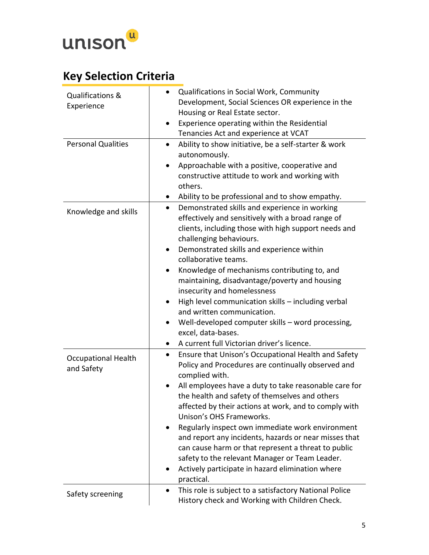

# **Key Selection Criteria**

| Qualifications &<br>Experience           | Qualifications in Social Work, Community<br>Development, Social Sciences OR experience in the<br>Housing or Real Estate sector.<br>Experience operating within the Residential<br>$\bullet$<br>Tenancies Act and experience at VCAT                                                                                                                                                                                                                                                                                                                                                                                                                                      |
|------------------------------------------|--------------------------------------------------------------------------------------------------------------------------------------------------------------------------------------------------------------------------------------------------------------------------------------------------------------------------------------------------------------------------------------------------------------------------------------------------------------------------------------------------------------------------------------------------------------------------------------------------------------------------------------------------------------------------|
| <b>Personal Qualities</b>                | Ability to show initiative, be a self-starter & work<br>$\bullet$<br>autonomously.<br>Approachable with a positive, cooperative and<br>constructive attitude to work and working with<br>others.<br>Ability to be professional and to show empathy.                                                                                                                                                                                                                                                                                                                                                                                                                      |
| Knowledge and skills                     | Demonstrated skills and experience in working<br>$\bullet$<br>effectively and sensitively with a broad range of<br>clients, including those with high support needs and<br>challenging behaviours.<br>Demonstrated skills and experience within<br>$\bullet$<br>collaborative teams.<br>Knowledge of mechanisms contributing to, and<br>$\bullet$<br>maintaining, disadvantage/poverty and housing<br>insecurity and homelessness<br>High level communication skills - including verbal<br>$\bullet$<br>and written communication.<br>Well-developed computer skills - word processing,<br>excel, data-bases.<br>A current full Victorian driver's licence.<br>$\bullet$ |
| <b>Occupational Health</b><br>and Safety | Ensure that Unison's Occupational Health and Safety<br>$\bullet$<br>Policy and Procedures are continually observed and<br>complied with.<br>All employees have a duty to take reasonable care for<br>the health and safety of themselves and others<br>affected by their actions at work, and to comply with<br>Unison's OHS Frameworks.<br>Regularly inspect own immediate work environment<br>and report any incidents, hazards or near misses that<br>can cause harm or that represent a threat to public<br>safety to the relevant Manager or Team Leader.<br>Actively participate in hazard elimination where<br>practical.                                         |
| Safety screening                         | This role is subject to a satisfactory National Police<br>History check and Working with Children Check.                                                                                                                                                                                                                                                                                                                                                                                                                                                                                                                                                                 |